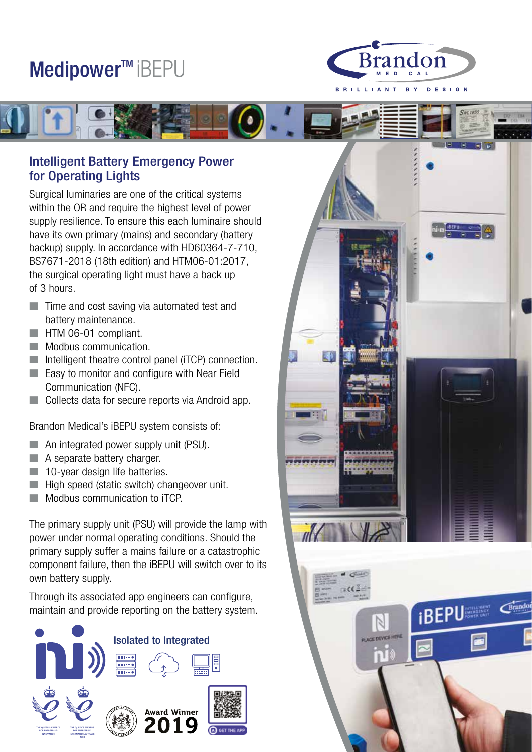## Medipower™ iBEPU



**IBEPU** 



## Intelligent Battery Emergency Power for Operating Lights

Surgical luminaries are one of the critical systems within the OR and require the highest level of power supply resilience. To ensure this each luminaire should have its own primary (mains) and secondary (battery backup) supply. In accordance with HD60364-7-710, BS7671-2018 (18th edition) and HTM06-01:2017, the surgical operating light must have a back up of 3 hours.

- $\blacksquare$  Time and cost saving via automated test and battery maintenance.
- **No. 4** HTM 06-01 compliant.
- **Nodbus communication.**
- $\blacksquare$  Intelligent theatre control panel (iTCP) connection.
- **Easy to monitor and configure with Near Field** Communication (NFC).
- n Collects data for secure reports via Android app.

Brandon Medical's iBEPU system consists of:

- $\blacksquare$  An integrated power supply unit (PSU).
- $\blacksquare$  A separate battery charger.
- $\blacksquare$  10-year design life batteries.
- $\blacksquare$  High speed (static switch) changeover unit.
- n Modbus communication to iTCP.

The primary supply unit (PSU) will provide the lamp with power under normal operating conditions. Should the primary supply suffer a mains failure or a catastrophic component failure, then the iBEPU will switch over to its own battery supply.

Through its associated app engineers can configure, maintain and provide reporting on the battery system.